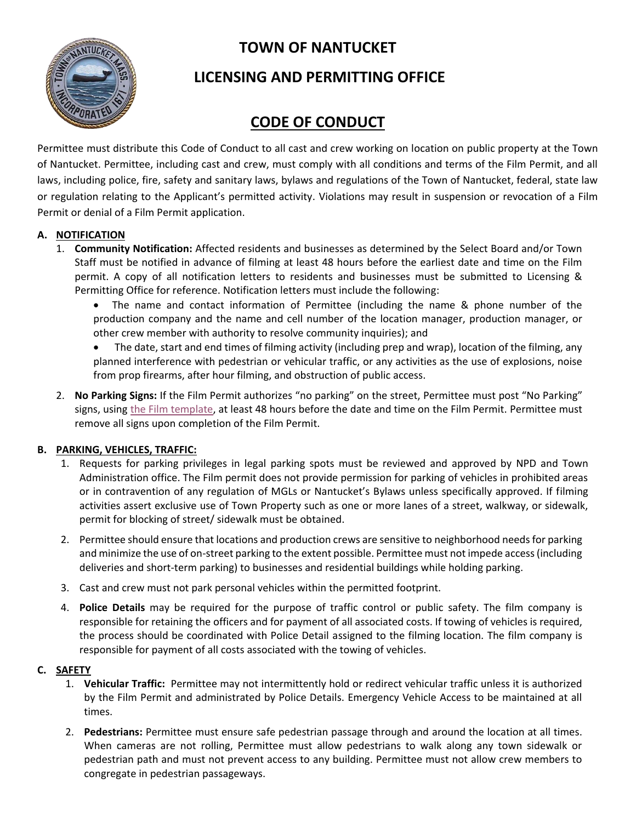**TOWN OF NANTUCKET**



## **LICENSING AND PERMITTING OFFICE**

# **CODE OF CONDUCT**

Permittee must distribute this Code of Conduct to all cast and crew working on location on public property at the Town of Nantucket. Permittee, including cast and crew, must comply with all conditions and terms of the Film Permit, and all laws, including police, fire, safety and sanitary laws, bylaws and regulations of the Town of Nantucket, federal, state law or regulation relating to the Applicant's permitted activity. Violations may result in suspension or revocation of a Film Permit or denial of a Film Permit application.

### **A. NOTIFICATION**

- 1. **Community Notification:** Affected residents and businesses as determined by the Select Board and/or Town Staff must be notified in advance of filming at least 48 hours before the earliest date and time on the Film permit. A copy of all notification letters to residents and businesses must be submitted to Licensing & Permitting Office for reference. Notification letters must include the following:
	- The name and contact information of Permittee (including the name & phone number of the production company and the name and cell number of the location manager, production manager, or other crew member with authority to resolve community inquiries); and
	- The date, start and end times of filming activity (including prep and wrap), location of the filming, any planned interference with pedestrian or vehicular traffic, or any activities as the use of explosions, noise from prop firearms, after hour filming, and obstruction of public access.
- 2. **No Parking Signs:** If the Film Permit authorizes "no parking" on the street, Permittee must post "No Parking" signs, using [the Film template,](https://www.nantucket-ma.gov/DocumentCenter/View/41535/NO-PARKING---film-shoot-fillable-pdf) at least 48 hours before the date and time on the Film Permit. Permittee must remove all signs upon completion of the Film Permit.

### **B. PARKING, VEHICLES, TRAFFIC:**

- 1. Requests for parking privileges in legal parking spots must be reviewed and approved by NPD and Town Administration office. The Film permit does not provide permission for parking of vehicles in prohibited areas or in contravention of any regulation of MGLs or Nantucket's Bylaws unless specifically approved. If filming activities assert exclusive use of Town Property such as one or more lanes of a street, walkway, or sidewalk, permit for blocking of street/ sidewalk must be obtained.
- 2. Permittee should ensure that locations and production crews are sensitive to neighborhood needs for parking and minimize the use of on-street parking to the extent possible. Permittee must not impede access (including deliveries and short-term parking) to businesses and residential buildings while holding parking.
- 3. Cast and crew must not park personal vehicles within the permitted footprint.
- 4. **Police Details** may be required for the purpose of traffic control or public safety. The film company is responsible for retaining the officers and for payment of all associated costs. If towing of vehicles is required, the process should be coordinated with Police Detail assigned to the filming location. The film company is responsible for payment of all costs associated with the towing of vehicles.

### **C. SAFETY**

- 1. **Vehicular Traffic:** Permittee may not intermittently hold or redirect vehicular traffic unless it is authorized by the Film Permit and administrated by Police Details. Emergency Vehicle Access to be maintained at all times.
- 2. **Pedestrians:** Permittee must ensure safe pedestrian passage through and around the location at all times. When cameras are not rolling, Permittee must allow pedestrians to walk along any town sidewalk or pedestrian path and must not prevent access to any building. Permittee must not allow crew members to congregate in pedestrian passageways.